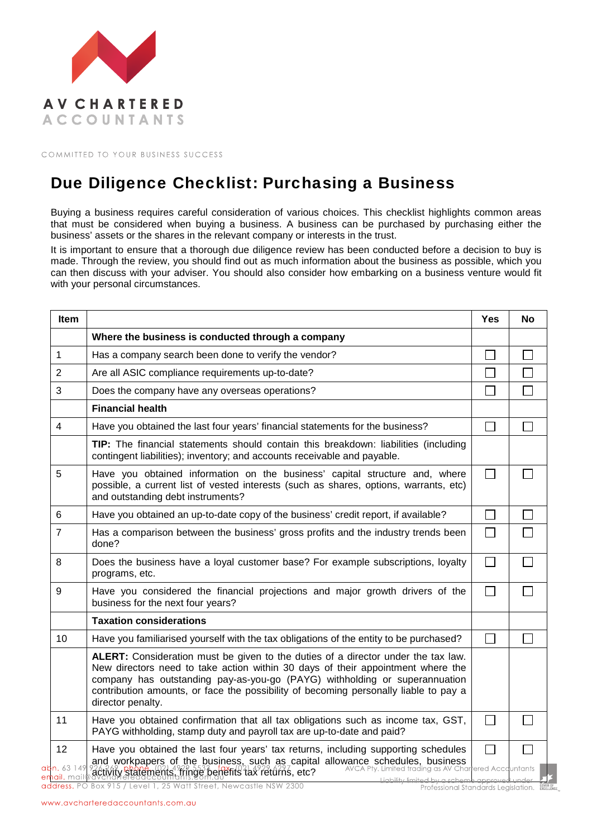

COMMITTED TO YOUR BUSINESS SUCCESS

## Due Diligence Checklist: Purchasing a Business

Buying a business requires careful consideration of various choices. This checklist highlights common areas that must be considered when buying a business. A business can be purchased by purchasing either the business' assets or the shares in the relevant company or interests in the trust.

It is important to ensure that a thorough due diligence review has been conducted before a decision to buy is made. Through the review, you should find out as much information about the business as possible, which you can then discuss with your adviser. You should also consider how embarking on a business venture would fit with your personal circumstances.

| <b>Item</b>                      |                                                                                                                                                                                                                                                                                                                                                                          | <b>Yes</b>                  | <b>No</b> |
|----------------------------------|--------------------------------------------------------------------------------------------------------------------------------------------------------------------------------------------------------------------------------------------------------------------------------------------------------------------------------------------------------------------------|-----------------------------|-----------|
|                                  | Where the business is conducted through a company                                                                                                                                                                                                                                                                                                                        |                             |           |
| 1                                | Has a company search been done to verify the vendor?                                                                                                                                                                                                                                                                                                                     |                             |           |
| 2                                | Are all ASIC compliance requirements up-to-date?                                                                                                                                                                                                                                                                                                                         | $\sim$                      |           |
| 3                                | Does the company have any overseas operations?                                                                                                                                                                                                                                                                                                                           |                             |           |
|                                  | <b>Financial health</b>                                                                                                                                                                                                                                                                                                                                                  |                             |           |
| 4                                | Have you obtained the last four years' financial statements for the business?                                                                                                                                                                                                                                                                                            | $\sim$                      |           |
|                                  | TIP: The financial statements should contain this breakdown: liabilities (including<br>contingent liabilities); inventory; and accounts receivable and payable.                                                                                                                                                                                                          |                             |           |
| 5                                | Have you obtained information on the business' capital structure and, where<br>possible, a current list of vested interests (such as shares, options, warrants, etc)<br>and outstanding debt instruments?                                                                                                                                                                | $\Box$                      |           |
| 6                                | Have you obtained an up-to-date copy of the business' credit report, if available?                                                                                                                                                                                                                                                                                       | $\mathcal{L}_{\mathcal{A}}$ |           |
| $\overline{7}$                   | Has a comparison between the business' gross profits and the industry trends been<br>done?                                                                                                                                                                                                                                                                               | $\overline{\phantom{0}}$    |           |
| 8                                | Does the business have a loyal customer base? For example subscriptions, loyalty<br>programs, etc.                                                                                                                                                                                                                                                                       | $\Box$                      |           |
| 9                                | Have you considered the financial projections and major growth drivers of the<br>business for the next four years?                                                                                                                                                                                                                                                       | $\mathbf{I}$                |           |
|                                  | <b>Taxation considerations</b>                                                                                                                                                                                                                                                                                                                                           |                             |           |
| 10                               | Have you familiarised yourself with the tax obligations of the entity to be purchased?                                                                                                                                                                                                                                                                                   |                             |           |
|                                  | ALERT: Consideration must be given to the duties of a director under the tax law.<br>New directors need to take action within 30 days of their appointment where the<br>company has outstanding pay-as-you-go (PAYG) withholding or superannuation<br>contribution amounts, or face the possibility of becoming personally liable to pay a<br>director penalty.          |                             |           |
| 11                               | Have you obtained confirmation that all tax obligations such as income tax, GST,<br>PAYG withholding, stamp duty and payroll tax are up-to-date and paid?                                                                                                                                                                                                                | П                           |           |
| 12<br>abn. 63 149<br>email. mail | Have you obtained the last four years' tax returns, including supporting schedules<br>and workpapers of the business, such as capital allowance schedules, business<br>226.262.phone (21.4%) 5532 10%; 04.4%, 04.27 oto? AVCA Pty. Limited trading as AV Charlered Accountants<br>activity statements, fringe benefits tax returns, etc?<br>مصطوعه وعدا والمتحل يطالطونا |                             |           |

Professional Standards Legislation.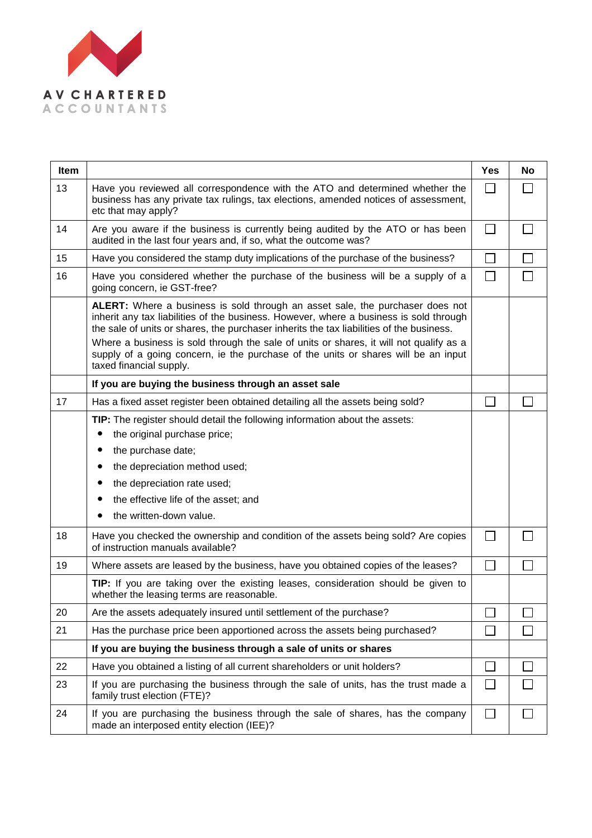

| <b>Item</b> |                                                                                                                                                                                                                                                                                                                                                                                                                                                                                | <b>Yes</b>   | <b>No</b>                |
|-------------|--------------------------------------------------------------------------------------------------------------------------------------------------------------------------------------------------------------------------------------------------------------------------------------------------------------------------------------------------------------------------------------------------------------------------------------------------------------------------------|--------------|--------------------------|
| 13          | Have you reviewed all correspondence with the ATO and determined whether the<br>business has any private tax rulings, tax elections, amended notices of assessment,<br>etc that may apply?                                                                                                                                                                                                                                                                                     | $\mathsf{I}$ |                          |
| 14          | Are you aware if the business is currently being audited by the ATO or has been<br>audited in the last four years and, if so, what the outcome was?                                                                                                                                                                                                                                                                                                                            | $\mathbf{L}$ | $\mathbf{I}$             |
| 15          | Have you considered the stamp duty implications of the purchase of the business?                                                                                                                                                                                                                                                                                                                                                                                               |              | $\mathbf{I}$             |
| 16          | Have you considered whether the purchase of the business will be a supply of a<br>going concern, ie GST-free?                                                                                                                                                                                                                                                                                                                                                                  | П            | $\overline{\phantom{a}}$ |
|             | ALERT: Where a business is sold through an asset sale, the purchaser does not<br>inherit any tax liabilities of the business. However, where a business is sold through<br>the sale of units or shares, the purchaser inherits the tax liabilities of the business.<br>Where a business is sold through the sale of units or shares, it will not qualify as a<br>supply of a going concern, ie the purchase of the units or shares will be an input<br>taxed financial supply. |              |                          |
|             | If you are buying the business through an asset sale                                                                                                                                                                                                                                                                                                                                                                                                                           |              |                          |
| 17          | Has a fixed asset register been obtained detailing all the assets being sold?                                                                                                                                                                                                                                                                                                                                                                                                  |              |                          |
|             | TIP: The register should detail the following information about the assets:<br>the original purchase price;                                                                                                                                                                                                                                                                                                                                                                    |              |                          |
|             | the purchase date;<br>$\bullet$                                                                                                                                                                                                                                                                                                                                                                                                                                                |              |                          |
|             | the depreciation method used;<br>$\bullet$                                                                                                                                                                                                                                                                                                                                                                                                                                     |              |                          |
|             | the depreciation rate used;<br>$\bullet$<br>the effective life of the asset; and                                                                                                                                                                                                                                                                                                                                                                                               |              |                          |
|             | the written-down value.                                                                                                                                                                                                                                                                                                                                                                                                                                                        |              |                          |
| 18          | Have you checked the ownership and condition of the assets being sold? Are copies<br>of instruction manuals available?                                                                                                                                                                                                                                                                                                                                                         | П            |                          |
| 19          | Where assets are leased by the business, have you obtained copies of the leases?                                                                                                                                                                                                                                                                                                                                                                                               |              | $\Box$                   |
|             | TIP: If you are taking over the existing leases, consideration should be given to<br>whether the leasing terms are reasonable.                                                                                                                                                                                                                                                                                                                                                 |              |                          |
| 20          | Are the assets adequately insured until settlement of the purchase?                                                                                                                                                                                                                                                                                                                                                                                                            |              |                          |
| 21          | Has the purchase price been apportioned across the assets being purchased?                                                                                                                                                                                                                                                                                                                                                                                                     |              |                          |
|             | If you are buying the business through a sale of units or shares                                                                                                                                                                                                                                                                                                                                                                                                               |              |                          |
| 22          | Have you obtained a listing of all current shareholders or unit holders?                                                                                                                                                                                                                                                                                                                                                                                                       |              | $\mathcal{L}$            |
| 23          | If you are purchasing the business through the sale of units, has the trust made a<br>family trust election (FTE)?                                                                                                                                                                                                                                                                                                                                                             |              |                          |
| 24          | If you are purchasing the business through the sale of shares, has the company<br>made an interposed entity election (IEE)?                                                                                                                                                                                                                                                                                                                                                    | $\mathsf{L}$ | $\mathbf{I}$             |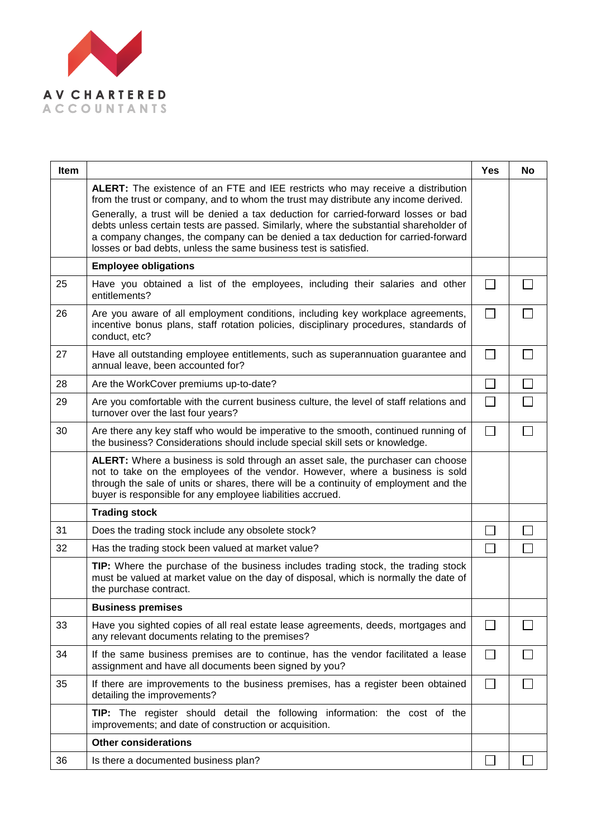

| <b>Item</b> |                                                                                                                                                                                                                                                                                                                                       | <b>Yes</b>        | <b>No</b> |
|-------------|---------------------------------------------------------------------------------------------------------------------------------------------------------------------------------------------------------------------------------------------------------------------------------------------------------------------------------------|-------------------|-----------|
|             | ALERT: The existence of an FTE and IEE restricts who may receive a distribution<br>from the trust or company, and to whom the trust may distribute any income derived.                                                                                                                                                                |                   |           |
|             | Generally, a trust will be denied a tax deduction for carried-forward losses or bad<br>debts unless certain tests are passed. Similarly, where the substantial shareholder of<br>a company changes, the company can be denied a tax deduction for carried-forward<br>losses or bad debts, unless the same business test is satisfied. |                   |           |
|             | <b>Employee obligations</b>                                                                                                                                                                                                                                                                                                           |                   |           |
| 25          | Have you obtained a list of the employees, including their salaries and other<br>entitlements?                                                                                                                                                                                                                                        |                   |           |
| 26          | Are you aware of all employment conditions, including key workplace agreements,<br>incentive bonus plans, staff rotation policies, disciplinary procedures, standards of<br>conduct, etc?                                                                                                                                             |                   |           |
| 27          | Have all outstanding employee entitlements, such as superannuation guarantee and<br>annual leave, been accounted for?                                                                                                                                                                                                                 |                   |           |
| 28          | Are the WorkCover premiums up-to-date?                                                                                                                                                                                                                                                                                                |                   |           |
| 29          | Are you comfortable with the current business culture, the level of staff relations and<br>turnover over the last four years?                                                                                                                                                                                                         |                   |           |
| 30          | Are there any key staff who would be imperative to the smooth, continued running of<br>the business? Considerations should include special skill sets or knowledge.                                                                                                                                                                   |                   |           |
|             | ALERT: Where a business is sold through an asset sale, the purchaser can choose<br>not to take on the employees of the vendor. However, where a business is sold<br>through the sale of units or shares, there will be a continuity of employment and the<br>buyer is responsible for any employee liabilities accrued.               |                   |           |
|             | <b>Trading stock</b>                                                                                                                                                                                                                                                                                                                  |                   |           |
| 31          | Does the trading stock include any obsolete stock?                                                                                                                                                                                                                                                                                    |                   |           |
| 32          | Has the trading stock been valued at market value?                                                                                                                                                                                                                                                                                    |                   |           |
|             | TIP: Where the purchase of the business includes trading stock, the trading stock<br>must be valued at market value on the day of disposal, which is normally the date of<br>the purchase contract.                                                                                                                                   |                   |           |
|             | <b>Business premises</b>                                                                                                                                                                                                                                                                                                              |                   |           |
| 33          | Have you sighted copies of all real estate lease agreements, deeds, mortgages and<br>any relevant documents relating to the premises?                                                                                                                                                                                                 |                   |           |
| 34          | If the same business premises are to continue, has the vendor facilitated a lease<br>assignment and have all documents been signed by you?                                                                                                                                                                                            | $\vert \ \ \vert$ |           |
| 35          | If there are improvements to the business premises, has a register been obtained<br>detailing the improvements?                                                                                                                                                                                                                       | $\vert \ \ \vert$ |           |
|             | TIP: The register should detail the following information: the cost of the<br>improvements; and date of construction or acquisition.                                                                                                                                                                                                  |                   |           |
|             | <b>Other considerations</b>                                                                                                                                                                                                                                                                                                           |                   |           |
| 36          | Is there a documented business plan?                                                                                                                                                                                                                                                                                                  |                   |           |